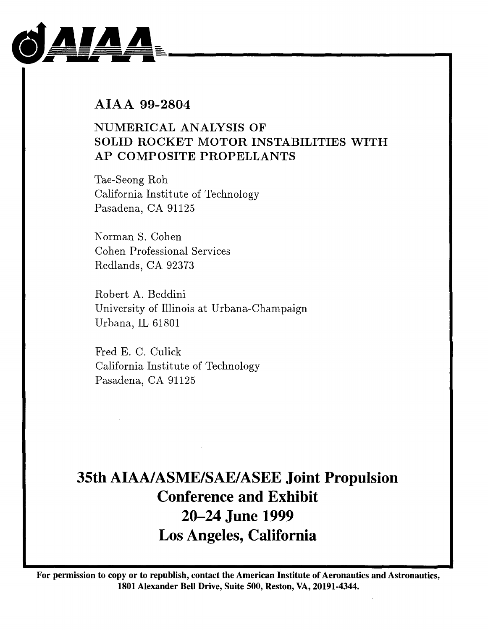

# **AIAA 99-2804**

## **NUMERICAL ANALYSIS OF SOLID ROCKET MOTOR INSTABILITIES WITH AP COMPOSITE PROPELLANTS**

Tae-Seong Roh California Institute of Technology Pasadena, CA 91125

Norman S. Cohen Cohen Professional Services Redlands, CA 92373

Robert A. Beddini University of Illinois at Urbana-Champaign Urbana, IL 61801

Fred E. C. Culick California Institute of Technology Pasadena, CA 91125

# **35th AIAAlASME/SAE/ASEE Joint Propulsion Conference and Exhibit 20-24 June 1999 Los Angeles, California**

**For permission to copy or to republish, contact the American Institute of Aeronautics and Astronautics, 1801 Alexander Bell Drive, Suite 500, Reston, VA, 20191-4344.**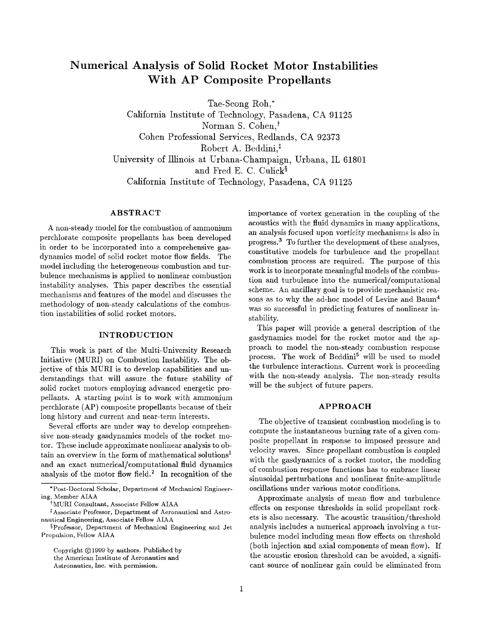## **Numerical Analysis of Solid Rocket Motor Instabilities With AP Composite Propellants**

Tae-Seong Roh,\*

California Institute of Technology, Pasadena, CA 91125 Norman S. Cohen,<sup>†</sup>

Cohen Professional Services, Redlands, CA 92373

Robert A. Beddini,<sup>‡</sup>

University of Illinois at Urbana-Champaign, Urbana, IL 61801 and Fred E. C. Culick§

California Institute of Technology, Pasadena, CA 91125

#### **ABSTRACT**

A non-steady model for the combustion of ammonium perchlorate composite propellants has been developed in order to be incorporated into a comprehensive gasdynamics model of solid rocket motor flow fields. The model including the heterogeneous combustion and turbulence mechanisms is applied to nonlinear combustion instability analyses. This paper describes the essential mechanisms and features of the model and discusses the methodology of non-steady calculations of the combustion instabilities of solid rocket motors.

#### **INTRODUCTION**

This work is part of the Multi-University Research Initiative (MURI) on Combustion Instability. The objective of this MURI is to develop capabilities and understandings that will assure the future stability of solid rocket motors employing advanced energetic propellants. A starting point *is* to work with ammonium perchlorate (AP) composite propellants because of their long history and current and near-term interests.

Several efforts are under way to develop comprehensive non-steady gasdynamics models of the rocket motor. These include approximate nonlinear analysis to obtain an overview in the form of mathematical solutions<sup>1</sup> and an exact numerical/computational fluid dynamics analysis of the motor flow field.<sup>2</sup> In recognition of the

Copyright ©1999 by authors. Published by the American Institute of Aeronautics and Astronautics, Inc. with permission.

importance of vortex generation in the coupling of the acoustics with the fluid dynamics in many applications, an analysis focused upon vorticity mechanisms is also in progress.<sup>3</sup> To further the development of these analyses, constitutive models for turbulence and the propellant combustion process are required. The purpose of this work is to incorporate meaningful models of the combustion and turbulence into the numerical/computational scheme. An ancillary goal is to provide mechanistic reasons as to why the ad-hoc model of Levine and Baum<sup>4</sup> was so successful in predicting features of nonlinear instability.

This paper will provide a general description of the gasdynamics model for the rocket motor and the approach to model the non-steady combustion response process. The work of Beddini<sup>5</sup> will be used to model the turbulence interactions. Current work is proceeding with the non-steady analysis. The non-steady results will be the subject of future papers.

#### **APPROACH**

The objective of transient combustion modeling is to compute the instantaneous burning rate of a given composite propellant in response to imposed pressure and velocity waves. Since propellant combustion is coupled with the gasdynamics of a rocket motor, the modeling of combustion response functions has to embrace linear sinusoidal perturbations and nonlinear finite-amplitude oscillations under various motor conditions.

Approximate analysis of mean flow and turbulence effects on response thresholds in solid propellant rockets is also necessary. The acoustic transition/threshold analysis includes a numerical approach involving a turbulence model including mean flow effects on threshold (both injection and axial components of mean flow). If the acoustic erosion threshold can be avoided, a significant source of nonlinear gain could be eliminated from

<sup>·</sup>Post-Doctoral Scholar, Department of Mechanical Engineering, Member AIAA

t MURI Consultant, Associate Fellow AIAA

I Associate Professor, Department of Aeronautical and Astronautical Engineering, Associate Fellow AIAA

<sup>§</sup>Professor, Department of Mechanical Engineering and Jet Propulsion, Fellow AIAA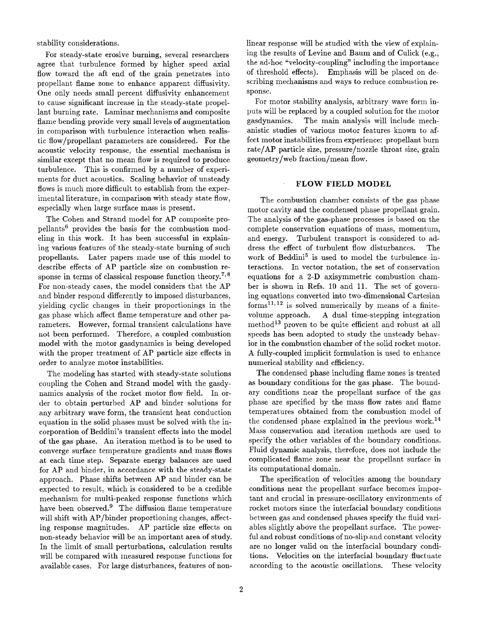stability considerations.

For steady-state erosive burning, several researchers agree that turbulence formed by higher speed axial flow toward the aft end of the grain penetrates into propellant flame zone to enhance apparent diffusivity. One only needs small percent diffusivity enhancement to cause significant increase in the steady-state propellant burning rate. Laminar mechanisms and composite flame bending provide very small levels of augmentation in comparison with turbulence interaction when realistic flow/propellant parameters are considered. For the acoustic velocity response, the essential mechanism is similar except that no mean flow is required to produce turbulence. This is confirmed by a number of experiments for duct acoustics. Scaling behavior of unsteady flows is much more difficult to establish from the experimental literature, in comparison with steady state flow, especially when large surface mass is present.

The Cohen and Strand model for AP composite propellants6 provides the basis for the combustion modeling in this work. It has been successful in explaining various features of the steady-state burning of such propellants. Later papers made use of this model to describe effects of AP particle size on combustion response in terms of classical response function theory.<sup> $7,8$ </sup> For non-steady cases, the model considers that the AP and binder respond differently to imposed disturbances, yielding cyclic changes in their proportionings in the gas phase which affect flame temperature and other parameters. However, formal transient calculations have not been performed. Therefore, a coupled combustion model with the motor gasdynamics is being developed with the proper treatment of AP particle size effects in order to analyze motor instabilities.

The modeling has started with steady-state solutions coupling the Cohen and Strand model with the gasdynamics analysis of the rocket motor flow field. In order to obtain perturbed AP and binder solutions for any arbitrary wave form, the transient heat conduction equation in the solid phases must be solved with the incorporation of Beddini's transient effects into the model of the gas phase. An iteration method is to be used to converge surface temperature gradients and mass flows at each time step. Separate energy balances are used for AP and binder, in accordance with the steady-state approach. Phase shifts between AP and binder can be expected to result, which is considered to be a credible mechanism for multi-peaked response functions which have been observed.<sup>9</sup> The diffusion flame temperature will shift with AP/binder proportioning changes, affecting response magnitudes. AP particle size effects on non-steady behavior will be an important area of study. In the limit of small perturbations, calculation results will be compared with measured response functions for available cases. For large disturbances, features of nonlinear response will be studied with the view of explaining the results of Levine and Baum and of Culick (e.g., the ad-hoc "velocity-coupling" including the importance of threshold effects). Emphasis will be placed on describing mechanisms and ways to reduce combustion response.

For motor stability analysis, arbitrary wave form inputs will be replaced by a coupled solution for the motor gasdynamics. The main analysis will include mechanistic studies of various motor features known to affect motor instabilities from experience: propellant burn rate/ AP particle size, pressure/nozzle throat size, grain geometry/web fraction/mean flow.

#### **FLOW FIELD MODEL**

The combustion chamber consists of the gas phase motor cavity and the condensed phase propellant grain. The analysis of the gas-phase processes is based on the complete conservation equations of mass, momentum, and energy. Turbulent transport is considered to address the effect of turbulent flow disturbances. The work of Beddini<sup>5</sup> is used to model the turbulence interactions. In vector notation, the set of conservation equations for a 2-D axisymmetric combustion chamber is shown in Refs. 10 and 11. The set of governing equations converted into two-dimensional Cartesian  $forms<sup>11,12</sup>$  is solved numerically by means of a finitevolume approach. A dual time-stepping integration method<sup>13</sup> proven to be quite efficient and robust at all speeds has been adopted to study the unsteady behavior in the combustion chamber of the solid rocket motor. A fully-coupled implicit formulation is used to enhance numerical stability and efficiency.

The condensed phase including flame zones is treated as boundary conditions for the gas phase. The boundary conditions near the propellant surface of the gas phase are specified by the mass flow rates and flame temperatures obtained from the combustion model of the condensed phase explained in the previous work. <sup>14</sup> Mass conservation and iteration methods are used to specify the other variables of the boundary conditions. Fluid dynamic analysis, therefore, does not include the complicated flame zone near the propellant surface in its computational domain.

The specification of velocities among the boundary conditions near the propellant surface becomes important and crucial in pressure-oscillatory environments of rocket motors since the interfacial boundary conditions between gas and condensed phases specify the fluid variables slightly above the propellant surface. The powerful and robust conditions of no-slip and constant velocity are no longer valid on the interfacial boundary conditions. Velocities on the interfacial boundary fluctuate according to the acoustic oscillations. These velocity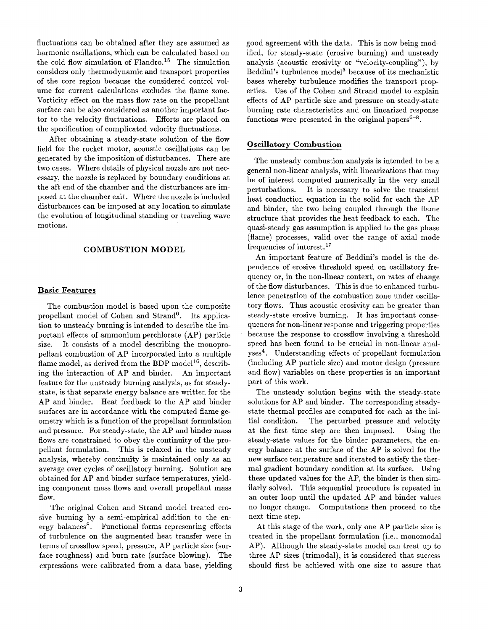fluctuations can be obtained after they are assumed as harmonic oscillations, which can be calculated based on the cold flow simulation of Flandro.<sup>15</sup> The simulation considers only thermodynamic and transport properties of the core region because the considered control volume for current calculations excludes the flame zone. Vorticity effect on the mass flow rate on the propellant surface can be also considered as another important factor to the velocity fluctuations. Efforts are placed on the specification of complicated velocity fluctuations.

After obtaining a steady-state solution of the flow field for the rocket motor, acoustic oscillations can be generated by the imposition of disturbances. There are two cases. Where details of physical nozzle are not necessary, the nozzle is replaced by boundary conditions at the aft end of the chamber and the disturbances are imposed at the chamber exit. Where the nozzle is included disturbances can be imposed at any location to simulate the evolution of longitudinal standing or traveling wave motions.

#### **COMBUSTION MODEL**

#### **Basic Features**

The combustion model is based upon the composite propellant model of Cohen and Strand<sup>6</sup>. Its application to unsteady burning is intended to describe the important effects of ammonium perchlorate (AP) particle size. It consists of a model describing the monopropellant combustion of **AP** incorporated into a multiple flame model, as derived from the BDP model<sup>16</sup>, describing the interaction of **AP** and binder. An important feature for the unsteady burning analysis, as for steadystate, is that separate energy balance are written for the **AP** and binder. Heat feedback to the **AP** and binder surfaces are in accordance with the computed flame geometry which is a function of the propellant formulation and pressure. For steady-state, the **AP** and binder mass flows are constrained to obey the continuity of the propellant formulation. This is relaxed in the unsteady analysis, whereby continuity is maintained only as an average over cycles of oscillatory burning. Solution are obtained for **AP** and binder surface temperatures, yielding component mass flows and overall propellant mass flow.

The original Cohen and Strand model treated erosive burning by a semi-empirical addition to the energy balances<sup>8</sup>. Functional forms representing effects of turbulence on the augmented heat transfer were in terms of crossflow speed, pressure, **AP** particle size (surface roughness) and burn rate (surface blowing). The expressions were calibrated from a data base, yielding good agreement with the data. This is now being modified, for steady-state (erosive burning) and unsteady analysis (acoustic erosivity or "velocity-coupling"), by Beddini's turbulence model<sup>5</sup> because of its mechanistic bases whereby turbulence modifies the transport properties. Use of the Cohen and Strand model to explain effects of **AP** particle size and pressure on steady-state burning rate characteristics and on linearized response functions were presented in the original papers  $6-8$ .

#### **Oscillatory Combustion**

The unsteady combustion analysis is intended to be a general non-linear analysis, with linearizations that may be of interest computed numerically in the very small perturbations. It is necessary to solve the transient heat conduction equation in the solid for each the **AP**  and binder, the two being coupled through the flame structure that provides the heat feedback to each. The quasi-steady gas assumption is applied to the gas phase (flame) processes, valid over the range of axial mode frequencies of interest. 17

An important feature of Beddini's model is the dependence of erosive threshold speed on oscillatory frequency or, in the non-linear context, on rates of change of the flow disturbances. This is due to enhanced turbulence penetration of the combustion zone under oscillatory flows. Thus acoustic erosivity can be greater than steady-state erosive burning. It has important consequences for non-linear response and triggering properties because the response to crossflow involving a threshold speed has been found to be crucial in non-linear analyses<sup>4</sup> • Understanding effects of propellant formulation (including **AP** particle size) and motor design (pressure and flow) variables on these properties is an important part of this work.

The unsteady solution begins with the steady-state solutions for **AP** and binder. The corresponding steadystate thermal profiles are computed for each as the initial condition. The perturbed pressure and velocity at the first time step are then imposed. Using the steady-state values for the binder parameters, the energy balance at the surface of the **AP** is solved for the new surface temperature and iterated to satisfy the thermal gradient boundary condition at its surface. Using these updated values for the AP, the binder is then similarly solved. This sequential procedure is repeated in an outer loop until the updated **AP** and binder values no longer change. Computations then proceed to the next time step.

At this stage of the work, only one **AP** particle size is treated in the propellant formulation (i.e., monomodal AP). Although the steady-state model can treat up to three **AP** sizes (trimodal), it is considered that success should first be achieved with one size to assure that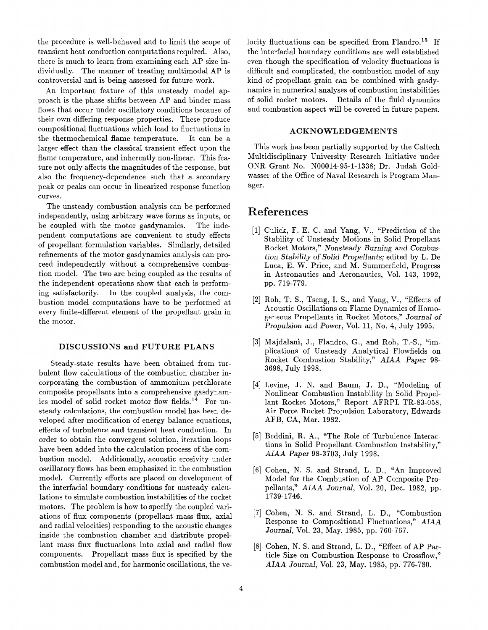the procedure is well-behaved and to limit the scope of transient heat conduction computations required. Also, there is much to learn from examining each AP size individually. The manner of treating multimodal AP is controversial and is being assessed for future work.

An important feature of this unsteady model approach is the phase shifts between AP and binder mass flows that occur under oscillatory conditions because of their own differing response properties. These produce compositional fluctuations which lead to fluctuations in the thermochemical flame temperature. It can be a larger effect than the classical transient effect upon the flame temperature, and inherently non-linear. This feature not only affects the magnitudes of the response, but also the frequency-dependence such that a secondary peak or peaks can occur in linearized response function curves.

The unsteady combustion analysis can be performed independently, using arbitrary wave forms as inputs, or be coupled with the motor gasdynamics. The independent computations are convenient to study effects of propellant formulation variables. Similarly, detailed refinements of the motor gas dynamics analysis can proceed independently without a comprehensive combustion model. The two are being coupled as the results of the independent operations show that each is performing satisfactorily. In the coupled analysis, the combustion model computations have to be performed at every finite-different element of the propellant grain in the motor.

#### DISCUSSIONS and FUTURE PLANS

Steady-state results have been obtained from turbulent flow calculations of the combustion chamber incorporating the combustion of ammonium perchlorate composite propellants into a comprehensive gasdynamics model of solid rocket motor flow fields.<sup>14</sup> For unsteady calculations, the combustion model has been developed after modification of energy balance equations, effects of turbulence and transient heat conduction. In order to obtain the convergent solution, iteration loops have been added into the calculation process of the combustion model. Additionally, acoustic erosivity under oscillatory flows has been emphasized in the combustion model. Currently efforts are placed on development of the interfacial boundary conditions for unsteady calculations to simulate combustion instabilities of the rocket motors. The problem is how to specify the coupled variations of flux components (propellant mass flux, axial and radial velocities) responding to the acoustic changes inside the combustion chamber and distribute propellant mass flux fluctuations into axial and radial flow components. Propellant mass flux is specified by the combustion model and, for harmonic oscillations, the velocity fluctuations can be specified from Flandro.<sup>15</sup> If the interfacial boundary conditions are well established even though the specification of velocity fluctuations is difficult and complicated, the combustion model of any kind of propellant grain can be combined with gasdynamics in numerical analyses of combustion instabilities of solid rocket motors. Details of the fluid dynamics and combustion aspect will be covered in future papers.

#### ACKNOWLEDGEMENTS

This work has been partially supported by the Caltech Multidisciplinary University Research Initiative under ONR Grant No. N00014-95-1-1338; Dr. Judah Goldwasser of the Office of Naval Research is Program Manager.

### References

- [1] Culick, F. E. C. and Yang, V., "Prediction of the Stability of Unsteady Motions in Solid Propellant Rocket Motors," *Nonsteady* Burning and *Combustion Stability* of *Solid Propellants;* edited by L. De Luca, E. W. Price, and M. Summerfield, Progress in Astronautics and Aeronautics, Vol. 143, 1992, pp. 719-779.
- [2] Roh, T. S., Tseng, I. S., and Yang, V., "Effects of Acoustic Oscillations on Flame Dynamics of Homogeneous Propellants in Rocket Motors," *Journal* of *Propulsion* and Power, Vol. 11, No.4, July 1995.
- [3] Majdalani, J., Flandro, G., and Roh, T.-S., "implications of Unsteady Analytical Flowfields on Rocket Combustion Stability," *AIAA* Paper 98- 3698, July 1998.
- [4] Levine, J. N. and Baum, J. D., "Modeling of Nonlinear Combustion Instability in Solid Propellant Rocket Motors," Report AFRPL-TR-83-058, Air Force Rocket Propulsion Laboratory, Edwards AFB, CA, Mar. 1982.
- [5] Beddini, R. A., "The Role of Turbulence Interactions in Solid Propellant Combustion Instability," *AIAA* Paper 98-3703, July 1998.
- [6] Cohen, N. S. and Strand, L. D., "An Improved Model for the Combustion of AP Composite Propellants," *AIAA Journal,* Vol. 20, Dec. 1982, pp. 1739-1746.
- [7] Cohen, N. S. and Strand, L. D., "Combustion Response to Compositional Fluctuations," *AIAA Journal,* Vol. 23, May. 1985, pp. 760-767.
- [8] Cohen, N. S. and Strand, L. D., "Effect of AP Particle Size on Combustion Response to Crossflow," *AIAA Journal,* Vol. 23, May. 1985, pp. 776-780.